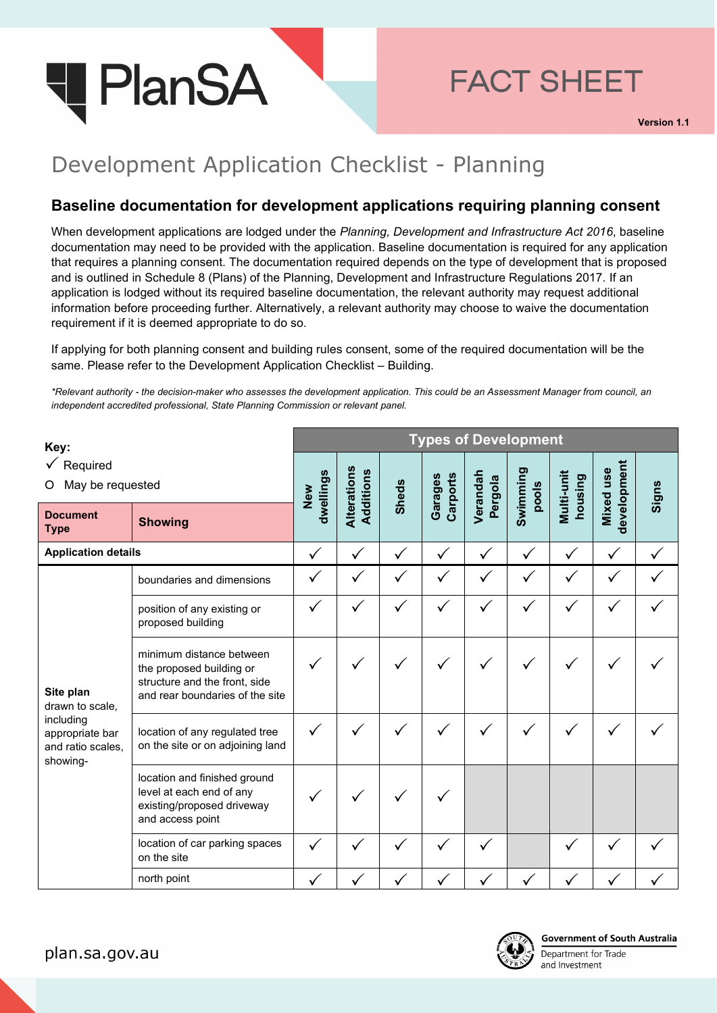

## Development Application Checklist - Planning

**I** PlanSA

## **Baseline documentation for development applications requiring planning consent**

OFFICIAL

When development applications are lodged under the *Planning, Development and Infrastructure Act 2016*, baseline documentation may need to be provided with the application. Baseline documentation is required for any application that requires a planning consent. The documentation required depends on the type of development that is proposed and is outlined in Schedule 8 (Plans) of the Planning, Development and Infrastructure Regulations 2017. If an application is lodged without its required baseline documentation, the relevant authority may request additional information before proceeding further. Alternatively, a relevant authority may choose to waive the documentation requirement if it is deemed appropriate to do so.

If applying for both planning consent and building rules consent, some of the required documentation will be the same. Please refer to the Development Application Checklist – Building.

*\*Relevant authority - the decision-maker who assesses the development application. This could be an Assessment Manager from council, an independent accredited professional, State Planning Commission or relevant panel.*

| Key:<br>$\sqrt{\phantom{a}}$ Required<br>May be requested<br>O                                |                                                                                                                          | <b>Types of Development</b> |                          |              |                     |                     |                   |                       |                          |       |
|-----------------------------------------------------------------------------------------------|--------------------------------------------------------------------------------------------------------------------------|-----------------------------|--------------------------|--------------|---------------------|---------------------|-------------------|-----------------------|--------------------------|-------|
|                                                                                               |                                                                                                                          | dwellings<br>New            | Alterations<br>Additions | <b>Sheds</b> | Carports<br>Garages | Verandah<br>Pergola | Swimming<br>pools | Multi-unit<br>housing | development<br>Mixed use | Signs |
| <b>Document</b><br><b>Type</b>                                                                | <b>Showing</b>                                                                                                           |                             |                          |              |                     |                     |                   |                       |                          |       |
| <b>Application details</b>                                                                    |                                                                                                                          | $\checkmark$                | $\checkmark$             | ✓            | $\checkmark$        | $\checkmark$        | $\checkmark$      | $\checkmark$          | ✓                        |       |
| Site plan<br>drawn to scale,<br>including<br>appropriate bar<br>and ratio scales,<br>showing- | boundaries and dimensions                                                                                                | ✓                           | $\checkmark$             | $\checkmark$ | $\checkmark$        | ✓                   | $\checkmark$      | $\checkmark$          | ✓                        |       |
|                                                                                               | position of any existing or<br>proposed building                                                                         | ✓                           |                          |              |                     |                     |                   |                       |                          |       |
|                                                                                               | minimum distance between<br>the proposed building or<br>structure and the front, side<br>and rear boundaries of the site |                             | ✓                        |              |                     |                     |                   |                       |                          |       |
|                                                                                               | location of any regulated tree<br>on the site or on adjoining land                                                       | $\checkmark$                |                          |              |                     |                     |                   |                       |                          |       |
|                                                                                               | location and finished ground<br>level at each end of any<br>existing/proposed driveway<br>and access point               |                             |                          |              |                     |                     |                   |                       |                          |       |
|                                                                                               | location of car parking spaces<br>on the site                                                                            | ✓                           |                          |              |                     |                     |                   |                       |                          |       |
|                                                                                               | north point                                                                                                              |                             |                          |              |                     |                     |                   |                       |                          |       |